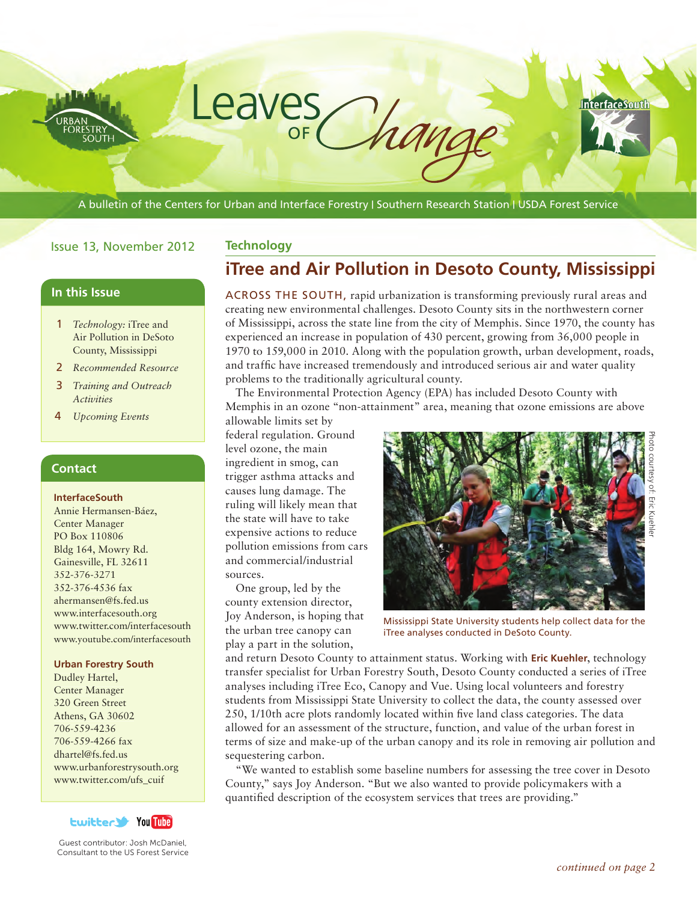A bulletin of the Centers for Urban and Interface Forestry | Southern Research Station | USDA Forest Service

## Issue 13, November 2012

## **In this Issue**

- 1 *Technology:* iTree and Air Pollution in DeSoto County, Mississippi
- 2 *Recommended Resource*
- 3 *Training and Outreach Activities*
- 4 *Upcoming Events*

## **Contact**

#### **InterfaceSouth**

Annie Hermansen-Báez, Center Manager PO Box 110806 Bldg 164, Mowry Rd. Gainesville, FL 32611 352-376-3271 352-376-4536 fax ahermansen@fs.fed.us www.interfacesouth.org www.twitter.com/interfacesouth www.youtube.com/interfacesouth

#### **Urban Forestry South**

Dudley Hartel, Center Manager 320 Green Street Athens, GA 30602 706-559-4236 706-559-4266 fax dhartel@fs.fed.us www.urbanforestrysouth.org www.twitter.com/ufs\_cuif



Guest contributor: Josh McDaniel, Consultant to the US Forest Service

# **Technology**

Leaves

OF

# **iTree and Air Pollution in Desoto County, Mississippi**

ACROSS THE SOUTH, rapid urbanization is transforming previously rural areas and creating new environmental challenges. Desoto County sits in the northwestern corner of Mississippi, across the state line from the city of Memphis. Since 1970, the county has experienced an increase in population of 430 percent, growing from 36,000 people in 1970 to 159,000 in 2010. Along with the population growth, urban development, roads, and traffic have increased tremendously and introduced serious air and water quality problems to the traditionally agricultural county.

The Environmental Protection Agency (EPA) has included Desoto County with Memphis in an ozone "non-attainment" area, meaning that ozone emissions are above

allowable limits set by federal regulation. Ground level ozone, the main ingredient in smog, can trigger asthma attacks and causes lung damage. The ruling will likely mean that the state will have to take expensive actions to reduce pollution emissions from cars and commercial/industrial sources.

One group, led by the county extension director, Joy Anderson, is hoping that the urban tree canopy can play a part in the solution,



Mississippi State University students help collect data for the iTree analyses conducted in DeSoto County.

and return Desoto County to attainment status. Working with **Eric Kuehler**, technology transfer specialist for Urban Forestry South, Desoto County conducted a series of iTree analyses including iTree Eco, Canopy and Vue. Using local volunteers and forestry students from Mississippi State University to collect the data, the county assessed over 250, 1/10th acre plots randomly located within five land class categories. The data allowed for an assessment of the structure, function, and value of the urban forest in terms of size and make-up of the urban canopy and its role in removing air pollution and sequestering carbon.

"We wanted to establish some baseline numbers for assessing the tree cover in Desoto County," says Joy Anderson. "But we also wanted to provide policymakers with a quantified description of the ecosystem services that trees are providing."

**InterfaceSouth**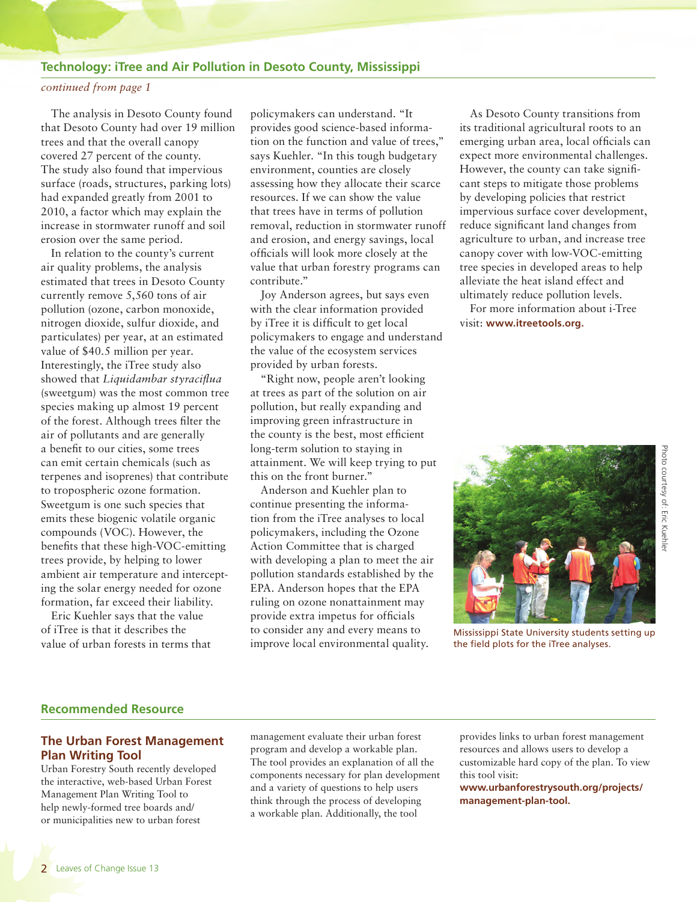#### **Technology: iTree and Air Pollution in Desoto County, Mississippi**

#### *continued from page 1*

The analysis in Desoto County found that Desoto County had over 19 million trees and that the overall canopy covered 27 percent of the county. The study also found that impervious surface (roads, structures, parking lots) had expanded greatly from 2001 to 2010, a factor which may explain the increase in stormwater runoff and soil erosion over the same period.

In relation to the county's current air quality problems, the analysis estimated that trees in Desoto County currently remove 5,560 tons of air pollution (ozone, carbon monoxide, nitrogen dioxide, sulfur dioxide, and particulates) per year, at an estimated value of \$40.5 million per year. Interestingly, the iTree study also showed that *Liquidambar styraciflua* (sweetgum) was the most common tree species making up almost 19 percent of the forest. Although trees filter the air of pollutants and are generally a benefit to our cities, some trees can emit certain chemicals (such as terpenes and isoprenes) that contribute to tropospheric ozone formation. Sweetgum is one such species that emits these biogenic volatile organic compounds (VOC). However, the benefits that these high-VOC-emitting trees provide, by helping to lower ambient air temperature and intercepting the solar energy needed for ozone formation, far exceed their liability.

Eric Kuehler says that the value of iTree is that it describes the value of urban forests in terms that

policymakers can understand. "It provides good science-based information on the function and value of trees," says Kuehler. "In this tough budgetary environment, counties are closely assessing how they allocate their scarce resources. If we can show the value that trees have in terms of pollution removal, reduction in stormwater runoff and erosion, and energy savings, local officials will look more closely at the value that urban forestry programs can contribute."

Joy Anderson agrees, but says even with the clear information provided by iTree it is difficult to get local policymakers to engage and understand the value of the ecosystem services provided by urban forests.

"Right now, people aren't looking at trees as part of the solution on air pollution, but really expanding and improving green infrastructure in the county is the best, most efficient long-term solution to staying in attainment. We will keep trying to put this on the front burner."

Anderson and Kuehler plan to continue presenting the information from the iTree analyses to local policymakers, including the Ozone Action Committee that is charged with developing a plan to meet the air pollution standards established by the EPA. Anderson hopes that the EPA ruling on ozone nonattainment may provide extra impetus for officials to consider any and every means to improve local environmental quality.

As Desoto County transitions from its traditional agricultural roots to an emerging urban area, local officials can expect more environmental challenges. However, the county can take significant steps to mitigate those problems by developing policies that restrict impervious surface cover development, reduce significant land changes from agriculture to urban, and increase tree canopy cover with low-VOC-emitting tree species in developed areas to help alleviate the heat island effect and ultimately reduce pollution levels. For more information about i-Tree

visit: **www.itreetools.org.**



Mississippi State University students setting up the field plots for the iTree analyses.

## **Recommended Resource**

## **The Urban Forest Management Plan Writing Tool**

Urban Forestry South recently developed the interactive, web-based Urban Forest Management Plan Writing Tool to help newly-formed tree boards and/ or municipalities new to urban forest

management evaluate their urban forest program and develop a workable plan. The tool provides an explanation of all the components necessary for plan development and a variety of questions to help users think through the process of developing a workable plan. Additionally, the tool

provides links to urban forest management resources and allows users to develop a customizable hard copy of the plan. To view this tool visit:

**www.urbanforestrysouth.org/projects/ management-plan-tool.**

Photo courtesy of: Eric Kuehle Photo courtesy of: Eric Kuehler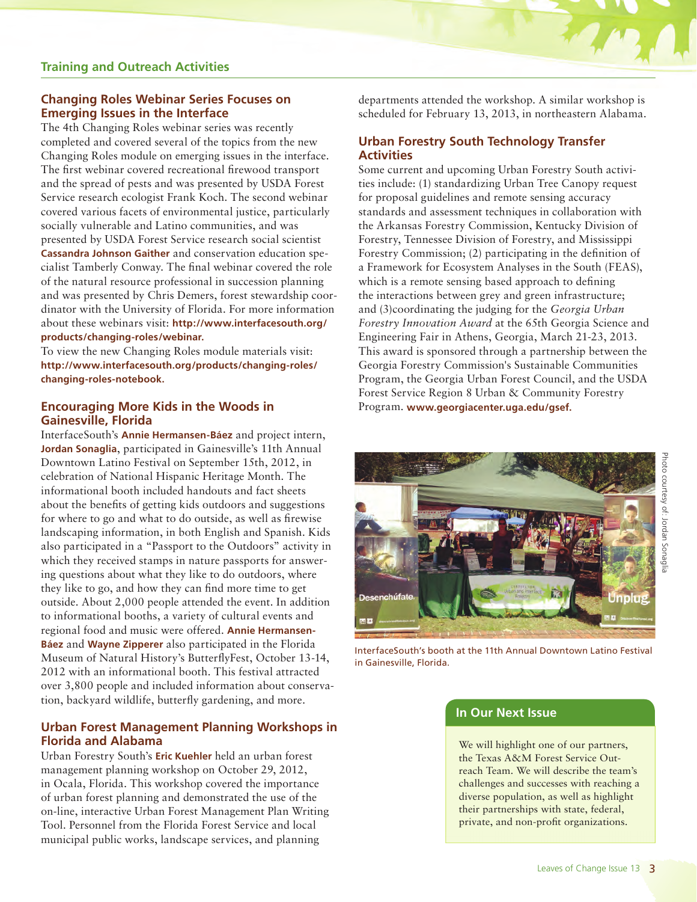# **Changing Roles Webinar Series Focuses on Emerging Issues in the Interface**

The 4th Changing Roles webinar series was recently completed and covered several of the topics from the new Changing Roles module on emerging issues in the interface. The first webinar covered recreational firewood transport and the spread of pests and was presented by USDA Forest Service research ecologist Frank Koch. The second webinar covered various facets of environmental justice, particularly socially vulnerable and Latino communities, and was presented by USDA Forest Service research social scientist **Cassandra Johnson Gaither** and conservation education specialist Tamberly Conway. The final webinar covered the role of the natural resource professional in succession planning and was presented by Chris Demers, forest stewardship coordinator with the University of Florida. For more information about these webinars visit: **http://www.interfacesouth.org/ products/changing-roles/webinar.**

To view the new Changing Roles module materials visit: **http://www.interfacesouth.org/products/changing-roles/ changing-roles-notebook.**

## **Encouraging More Kids in the Woods in Gainesville, Florida**

InterfaceSouth's **Annie Hermansen-Báez** and project intern, **Jordan Sonaglia**, participated in Gainesville's 11th Annual Downtown Latino Festival on September 15th, 2012, in celebration of National Hispanic Heritage Month. The informational booth included handouts and fact sheets about the benefits of getting kids outdoors and suggestions for where to go and what to do outside, as well as firewise landscaping information, in both English and Spanish. Kids also participated in a "Passport to the Outdoors" activity in which they received stamps in nature passports for answering questions about what they like to do outdoors, where they like to go, and how they can find more time to get outside. About 2,000 people attended the event. In addition to informational booths, a variety of cultural events and regional food and music were offered. **Annie Hermansen-Báez** and **Wayne Zipperer** also participated in the Florida Museum of Natural History's ButterflyFest, October 13-14, 2012 with an informational booth. This festival attracted over 3,800 people and included information about conservation, backyard wildlife, butterfly gardening, and more.

# **Urban Forest Management Planning Workshops in Florida and Alabama**

Urban Forestry South's **Eric Kuehler** held an urban forest management planning workshop on October 29, 2012, in Ocala, Florida. This workshop covered the importance of urban forest planning and demonstrated the use of the on-line, interactive Urban Forest Management Plan Writing Tool. Personnel from the Florida Forest Service and local municipal public works, landscape services, and planning

departments attended the workshop. A similar workshop is scheduled for February 13, 2013, in northeastern Alabama.

# **Urban Forestry South Technology Transfer Activities**

Some current and upcoming Urban Forestry South activities include: (1) standardizing Urban Tree Canopy request for proposal guidelines and remote sensing accuracy standards and assessment techniques in collaboration with the Arkansas Forestry Commission, Kentucky Division of Forestry, Tennessee Division of Forestry, and Mississippi Forestry Commission; (2) participating in the definition of a Framework for Ecosystem Analyses in the South (FEAS), which is a remote sensing based approach to defining the interactions between grey and green infrastructure; and (3)coordinating the judging for the *Georgia Urban Forestry Innovation Award* at the 65th Georgia Science and Engineering Fair in Athens, Georgia, March 21-23, 2013. This award is sponsored through a partnership between the Georgia Forestry Commission's Sustainable Communities Program, the Georgia Urban Forest Council, and the USDA Forest Service Region 8 Urban & Community Forestry Program. **www.georgiacenter.uga.edu/gsef.**



InterfaceSouth's booth at the 11th Annual Downtown Latino Festival in Gainesville, Florida.

# **In Our Next Issue**

We will highlight one of our partners, the Texas A&M Forest Service Outreach Team. We will describe the team's challenges and successes with reaching a diverse population, as well as highlight their partnerships with state, federal, private, and non-profit organizations.